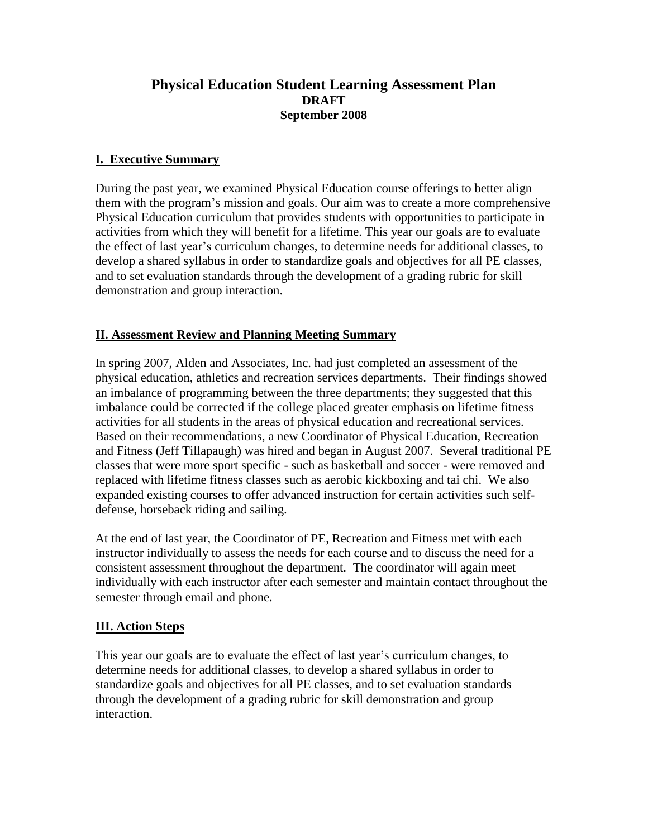# **Physical Education Student Learning Assessment Plan DRAFT September 2008**

# **I. Executive Summary**

During the past year, we examined Physical Education course offerings to better align them with the program's mission and goals. Our aim was to create a more comprehensive Physical Education curriculum that provides students with opportunities to participate in activities from which they will benefit for a lifetime. This year our goals are to evaluate the effect of last year's curriculum changes, to determine needs for additional classes, to develop a shared syllabus in order to standardize goals and objectives for all PE classes, and to set evaluation standards through the development of a grading rubric for skill demonstration and group interaction.

# **II. Assessment Review and Planning Meeting Summary**

In spring 2007, Alden and Associates, Inc. had just completed an assessment of the physical education, athletics and recreation services departments. Their findings showed an imbalance of programming between the three departments; they suggested that this imbalance could be corrected if the college placed greater emphasis on lifetime fitness activities for all students in the areas of physical education and recreational services. Based on their recommendations, a new Coordinator of Physical Education, Recreation and Fitness (Jeff Tillapaugh) was hired and began in August 2007. Several traditional PE classes that were more sport specific - such as basketball and soccer - were removed and replaced with lifetime fitness classes such as aerobic kickboxing and tai chi. We also expanded existing courses to offer advanced instruction for certain activities such selfdefense, horseback riding and sailing.

At the end of last year, the Coordinator of PE, Recreation and Fitness met with each instructor individually to assess the needs for each course and to discuss the need for a consistent assessment throughout the department. The coordinator will again meet individually with each instructor after each semester and maintain contact throughout the semester through email and phone.

# **III. Action Steps**

This year our goals are to evaluate the effect of last year's curriculum changes, to determine needs for additional classes, to develop a shared syllabus in order to standardize goals and objectives for all PE classes, and to set evaluation standards through the development of a grading rubric for skill demonstration and group interaction.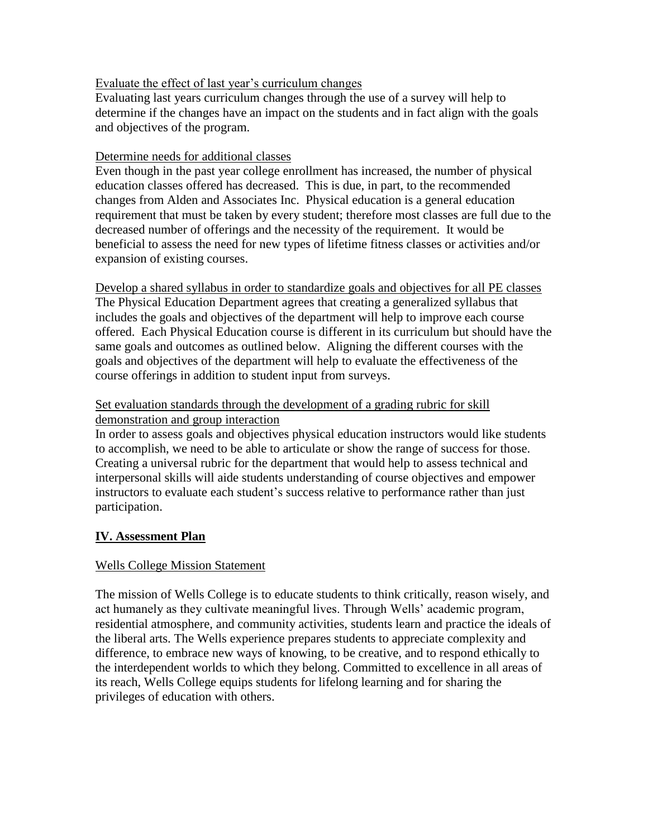## Evaluate the effect of last year's curriculum changes

Evaluating last years curriculum changes through the use of a survey will help to determine if the changes have an impact on the students and in fact align with the goals and objectives of the program.

## Determine needs for additional classes

Even though in the past year college enrollment has increased, the number of physical education classes offered has decreased. This is due, in part, to the recommended changes from Alden and Associates Inc. Physical education is a general education requirement that must be taken by every student; therefore most classes are full due to the decreased number of offerings and the necessity of the requirement. It would be beneficial to assess the need for new types of lifetime fitness classes or activities and/or expansion of existing courses.

Develop a shared syllabus in order to standardize goals and objectives for all PE classes The Physical Education Department agrees that creating a generalized syllabus that includes the goals and objectives of the department will help to improve each course offered. Each Physical Education course is different in its curriculum but should have the same goals and outcomes as outlined below. Aligning the different courses with the goals and objectives of the department will help to evaluate the effectiveness of the course offerings in addition to student input from surveys.

## Set evaluation standards through the development of a grading rubric for skill demonstration and group interaction

In order to assess goals and objectives physical education instructors would like students to accomplish, we need to be able to articulate or show the range of success for those. Creating a universal rubric for the department that would help to assess technical and interpersonal skills will aide students understanding of course objectives and empower instructors to evaluate each student's success relative to performance rather than just participation.

# **IV. Assessment Plan**

# Wells College Mission Statement

The mission of Wells College is to educate students to think critically, reason wisely, and act humanely as they cultivate meaningful lives. Through Wells' academic program, residential atmosphere, and community activities, students learn and practice the ideals of the liberal arts. The Wells experience prepares students to appreciate complexity and difference, to embrace new ways of knowing, to be creative, and to respond ethically to the interdependent worlds to which they belong. Committed to excellence in all areas of its reach, Wells College equips students for lifelong learning and for sharing the privileges of education with others.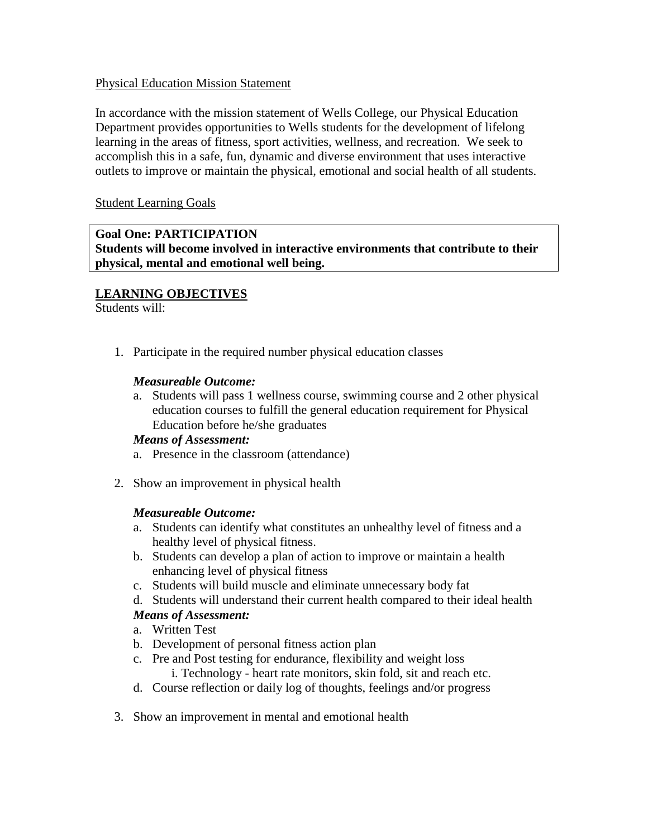## Physical Education Mission Statement

In accordance with the mission statement of Wells College, our Physical Education Department provides opportunities to Wells students for the development of lifelong learning in the areas of fitness, sport activities, wellness, and recreation. We seek to accomplish this in a safe, fun, dynamic and diverse environment that uses interactive outlets to improve or maintain the physical, emotional and social health of all students.

Student Learning Goals

# **Goal One: PARTICIPATION**

**Students will become involved in interactive environments that contribute to their physical, mental and emotional well being.**

# **LEARNING OBJECTIVES**

Students will:

1. Participate in the required number physical education classes

# *Measureable Outcome:*

a. Students will pass 1 wellness course, swimming course and 2 other physical education courses to fulfill the general education requirement for Physical Education before he/she graduates

## *Means of Assessment:*

- a. Presence in the classroom (attendance)
- 2. Show an improvement in physical health

## *Measureable Outcome:*

- a. Students can identify what constitutes an unhealthy level of fitness and a healthy level of physical fitness.
- b. Students can develop a plan of action to improve or maintain a health enhancing level of physical fitness
- c. Students will build muscle and eliminate unnecessary body fat
- d. Students will understand their current health compared to their ideal health

# *Means of Assessment:*

- a. Written Test
- b. Development of personal fitness action plan
- c. Pre and Post testing for endurance, flexibility and weight loss
	- i. Technology heart rate monitors, skin fold, sit and reach etc.
- d. Course reflection or daily log of thoughts, feelings and/or progress
- 3. Show an improvement in mental and emotional health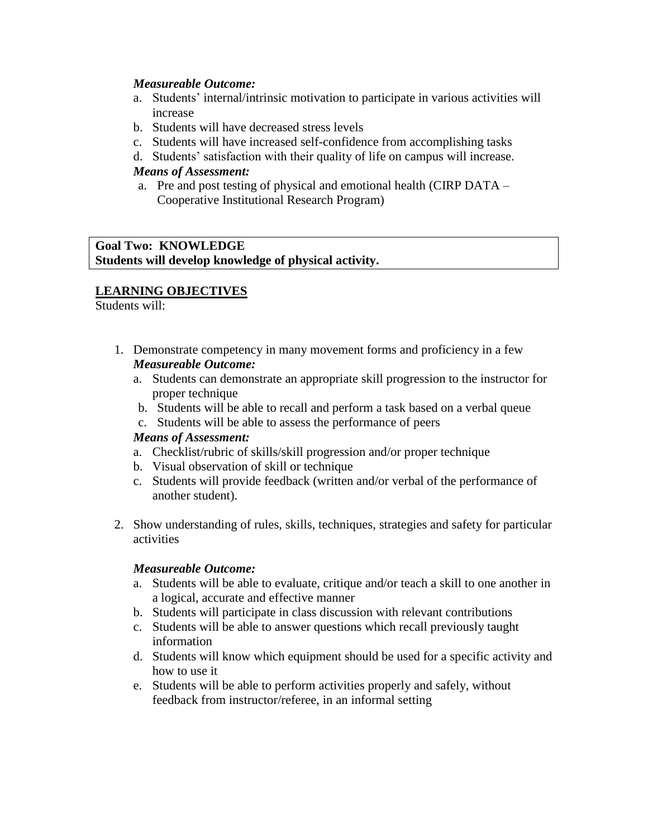## *Measureable Outcome:*

- a. Students' internal/intrinsic motivation to participate in various activities will increase
- b. Students will have decreased stress levels
- c. Students will have increased self-confidence from accomplishing tasks
- d. Students' satisfaction with their quality of life on campus will increase.

## *Means of Assessment:*

a. Pre and post testing of physical and emotional health (CIRP DATA – Cooperative Institutional Research Program)

**Goal Two: KNOWLEDGE Students will develop knowledge of physical activity.**

# **LEARNING OBJECTIVES**

Students will:

- 1. Demonstrate competency in many movement forms and proficiency in a few *Measureable Outcome:*
	- a. Students can demonstrate an appropriate skill progression to the instructor for proper technique
	- b. Students will be able to recall and perform a task based on a verbal queue
	- c. Students will be able to assess the performance of peers

## *Means of Assessment:*

- a. Checklist/rubric of skills/skill progression and/or proper technique
- b. Visual observation of skill or technique
- c. Students will provide feedback (written and/or verbal of the performance of another student).
- 2. Show understanding of rules, skills, techniques, strategies and safety for particular activities

## *Measureable Outcome:*

- a. Students will be able to evaluate, critique and/or teach a skill to one another in a logical, accurate and effective manner
- b. Students will participate in class discussion with relevant contributions
- c. Students will be able to answer questions which recall previously taught information
- d. Students will know which equipment should be used for a specific activity and how to use it
- e. Students will be able to perform activities properly and safely, without feedback from instructor/referee, in an informal setting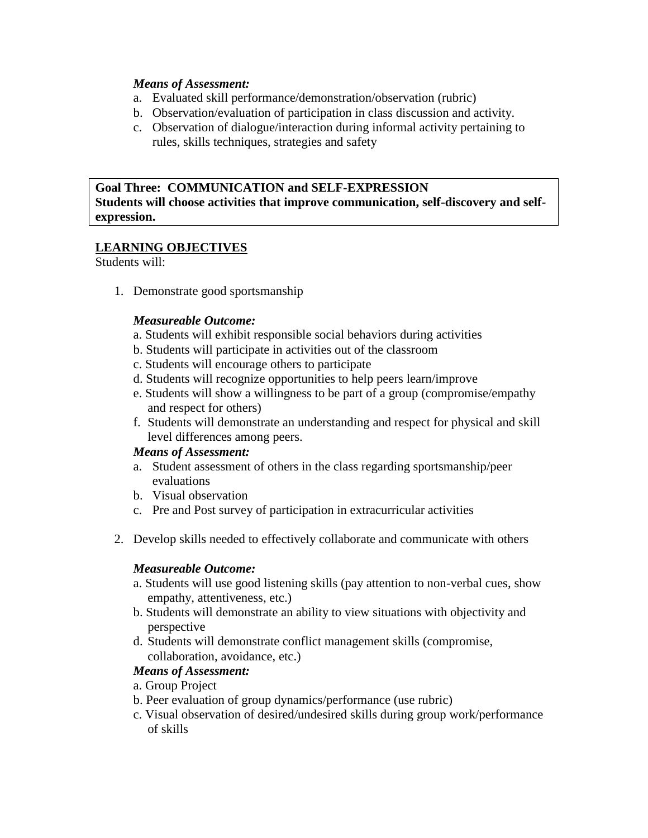## *Means of Assessment:*

- a. Evaluated skill performance/demonstration/observation (rubric)
- b. Observation/evaluation of participation in class discussion and activity.
- c. Observation of dialogue/interaction during informal activity pertaining to rules, skills techniques, strategies and safety

**Goal Three: COMMUNICATION and SELF-EXPRESSION Students will choose activities that improve communication, self-discovery and selfexpression.**

# **LEARNING OBJECTIVES**

Students will:

1. Demonstrate good sportsmanship

## *Measureable Outcome:*

- a. Students will exhibit responsible social behaviors during activities
- b. Students will participate in activities out of the classroom
- c. Students will encourage others to participate
- d. Students will recognize opportunities to help peers learn/improve
- e. Students will show a willingness to be part of a group (compromise/empathy and respect for others)
- f. Students will demonstrate an understanding and respect for physical and skill level differences among peers.

## *Means of Assessment:*

- a. Student assessment of others in the class regarding sportsmanship/peer evaluations
- b. Visual observation
- c. Pre and Post survey of participation in extracurricular activities
- 2. Develop skills needed to effectively collaborate and communicate with others

## *Measureable Outcome:*

- a. Students will use good listening skills (pay attention to non-verbal cues, show empathy, attentiveness, etc.)
- b. Students will demonstrate an ability to view situations with objectivity and perspective
- d. Students will demonstrate conflict management skills (compromise, collaboration, avoidance, etc.)

# *Means of Assessment:*

- a. Group Project
- b. Peer evaluation of group dynamics/performance (use rubric)
- c. Visual observation of desired/undesired skills during group work/performance of skills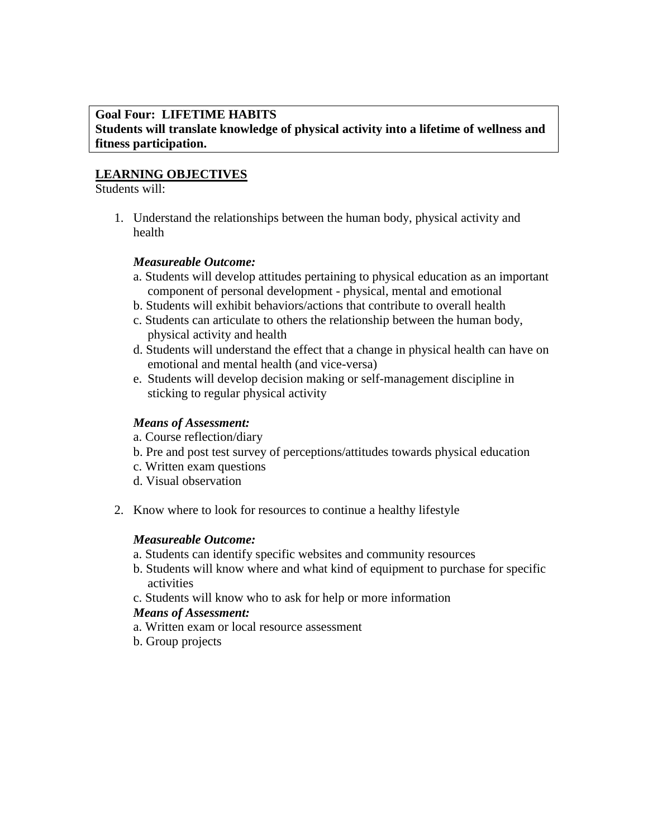## **Goal Four: LIFETIME HABITS Students will translate knowledge of physical activity into a lifetime of wellness and fitness participation.**

# **LEARNING OBJECTIVES**

## Students will:

1. Understand the relationships between the human body, physical activity and health

# *Measureable Outcome:*

- a. Students will develop attitudes pertaining to physical education as an important component of personal development - physical, mental and emotional
- b. Students will exhibit behaviors/actions that contribute to overall health
- c. Students can articulate to others the relationship between the human body, physical activity and health
- d. Students will understand the effect that a change in physical health can have on emotional and mental health (and vice-versa)
- e. Students will develop decision making or self-management discipline in sticking to regular physical activity

# *Means of Assessment:*

- a. Course reflection/diary
- b. Pre and post test survey of perceptions/attitudes towards physical education
- c. Written exam questions
- d. Visual observation
- 2. Know where to look for resources to continue a healthy lifestyle

# *Measureable Outcome:*

- a. Students can identify specific websites and community resources
- b. Students will know where and what kind of equipment to purchase for specific activities
- c. Students will know who to ask for help or more information

# *Means of Assessment:*

- a. Written exam or local resource assessment
- b. Group projects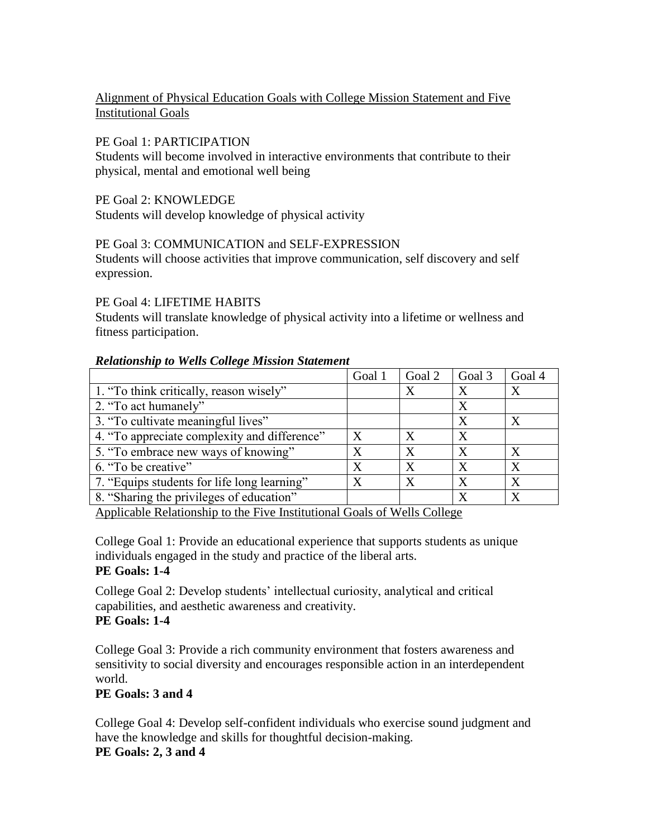# Alignment of Physical Education Goals with College Mission Statement and Five Institutional Goals

## PE Goal 1: PARTICIPATION

Students will become involved in interactive environments that contribute to their physical, mental and emotional well being

PE Goal 2: KNOWLEDGE

Students will develop knowledge of physical activity

# PE Goal 3: COMMUNICATION and SELF-EXPRESSION

Students will choose activities that improve communication, self discovery and self expression.

## PE Goal 4: LIFETIME HABITS

Students will translate knowledge of physical activity into a lifetime or wellness and fitness participation.

## *Relationship to Wells College Mission Statement*

|                                              | Goal 1           | Goal 2 | Goal 3 | Goal 4       |
|----------------------------------------------|------------------|--------|--------|--------------|
| 1. "To think critically, reason wisely"      |                  | X      | X      | X            |
| 2. "To act humanely"                         |                  |        | X      |              |
| 3. "To cultivate meaningful lives"           |                  |        |        | X            |
| 4. "To appreciate complexity and difference" | X                |        | X      |              |
| 5. "To embrace new ways of knowing"          | X                | X      | X      | X            |
| 6. "To be creative"                          | X                | X      | X      | $\mathbf{X}$ |
| 7. "Equips students for life long learning"  | $\boldsymbol{X}$ | X      | X      | X            |
| 8. "Sharing the privileges of education"     |                  |        | X      | X            |

Applicable Relationship to the Five Institutional Goals of Wells College

College Goal 1: Provide an educational experience that supports students as unique individuals engaged in the study and practice of the liberal arts. **PE Goals: 1-4**

College Goal 2: Develop students' intellectual curiosity, analytical and critical capabilities, and aesthetic awareness and creativity. **PE Goals: 1-4**

College Goal 3: Provide a rich community environment that fosters awareness and sensitivity to social diversity and encourages responsible action in an interdependent world.

# **PE Goals: 3 and 4**

College Goal 4: Develop self-confident individuals who exercise sound judgment and have the knowledge and skills for thoughtful decision-making.

## **PE Goals: 2, 3 and 4**